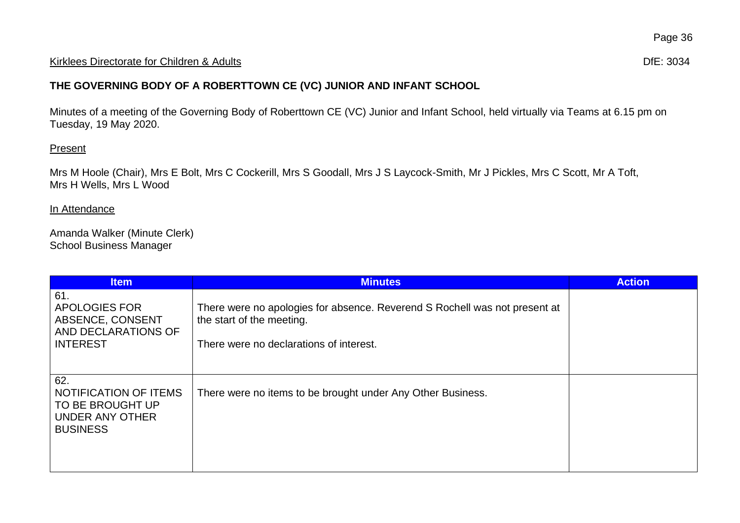## Kirklees Directorate for Children & Adults **Difester and Contact and Contact and Contact and Contact and Contact and Contact and Contact and Difester 3034**

## **THE GOVERNING BODY OF A ROBERTTOWN CE (VC) JUNIOR AND INFANT SCHOOL**

Minutes of a meeting of the Governing Body of Roberttown CE (VC) Junior and Infant School, held virtually via Teams at 6.15 pm on Tuesday, 19 May 2020.

## **Present**

Mrs M Hoole (Chair), Mrs E Bolt, Mrs C Cockerill, Mrs S Goodall, Mrs J S Laycock-Smith, Mr J Pickles, Mrs C Scott, Mr A Toft, Mrs H Wells, Mrs L Wood

## In Attendance

Amanda Walker (Minute Clerk) School Business Manager

| <b>Item</b>                                                                                      | <b>Minutes</b>                                                                                                                                     | <b>Action</b> |
|--------------------------------------------------------------------------------------------------|----------------------------------------------------------------------------------------------------------------------------------------------------|---------------|
| 61.<br><b>APOLOGIES FOR</b><br><b>ABSENCE, CONSENT</b><br>AND DECLARATIONS OF<br><b>INTEREST</b> | There were no apologies for absence. Reverend S Rochell was not present at<br>the start of the meeting.<br>There were no declarations of interest. |               |
| 62.<br>NOTIFICATION OF ITEMS<br>TO BE BROUGHT UP<br>UNDER ANY OTHER<br><b>BUSINESS</b>           | There were no items to be brought under Any Other Business.                                                                                        |               |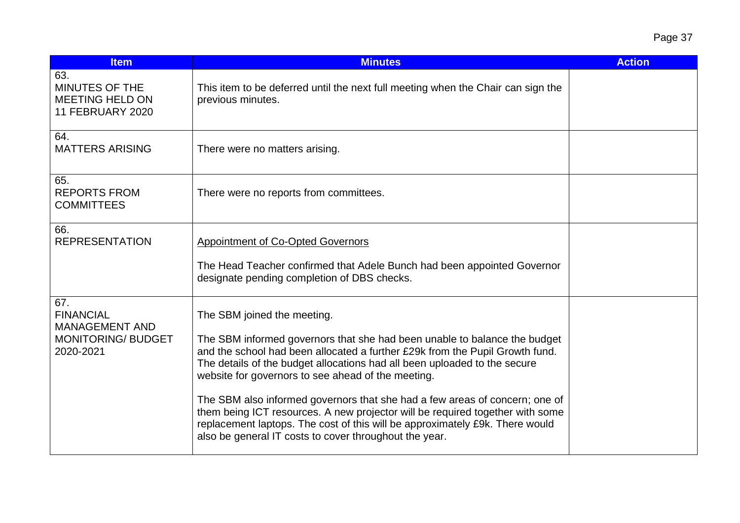| <b>Item</b>                                                                                | <b>Minutes</b>                                                                                                                                                                                                                                                                                                                                                                                                                                                                                                                                                                                                                        | <b>Action</b> |
|--------------------------------------------------------------------------------------------|---------------------------------------------------------------------------------------------------------------------------------------------------------------------------------------------------------------------------------------------------------------------------------------------------------------------------------------------------------------------------------------------------------------------------------------------------------------------------------------------------------------------------------------------------------------------------------------------------------------------------------------|---------------|
| 63.<br>MINUTES OF THE<br><b>MEETING HELD ON</b><br><b>11 FEBRUARY 2020</b>                 | This item to be deferred until the next full meeting when the Chair can sign the<br>previous minutes.                                                                                                                                                                                                                                                                                                                                                                                                                                                                                                                                 |               |
| 64.<br><b>MATTERS ARISING</b>                                                              | There were no matters arising.                                                                                                                                                                                                                                                                                                                                                                                                                                                                                                                                                                                                        |               |
| 65.<br><b>REPORTS FROM</b><br><b>COMMITTEES</b>                                            | There were no reports from committees.                                                                                                                                                                                                                                                                                                                                                                                                                                                                                                                                                                                                |               |
| 66.<br><b>REPRESENTATION</b>                                                               | <b>Appointment of Co-Opted Governors</b><br>The Head Teacher confirmed that Adele Bunch had been appointed Governor<br>designate pending completion of DBS checks.                                                                                                                                                                                                                                                                                                                                                                                                                                                                    |               |
| 67.<br><b>FINANCIAL</b><br><b>MANAGEMENT AND</b><br><b>MONITORING/ BUDGET</b><br>2020-2021 | The SBM joined the meeting.<br>The SBM informed governors that she had been unable to balance the budget<br>and the school had been allocated a further £29k from the Pupil Growth fund.<br>The details of the budget allocations had all been uploaded to the secure<br>website for governors to see ahead of the meeting.<br>The SBM also informed governors that she had a few areas of concern; one of<br>them being ICT resources. A new projector will be required together with some<br>replacement laptops. The cost of this will be approximately £9k. There would<br>also be general IT costs to cover throughout the year. |               |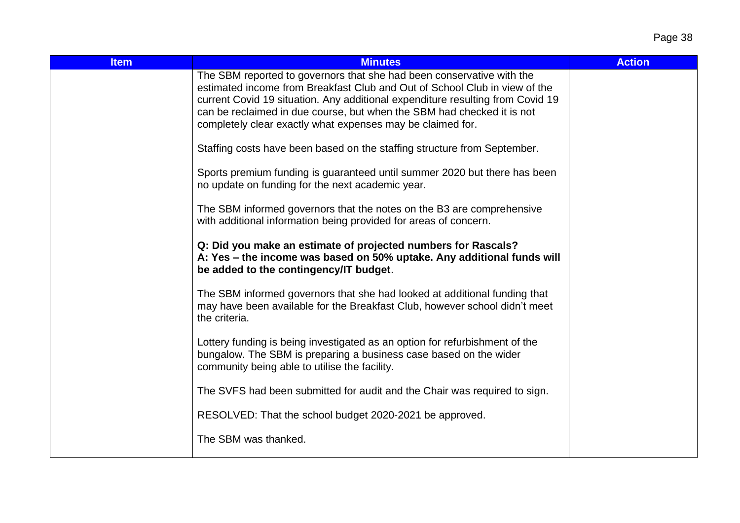| <b>Item</b> | <b>Minutes</b>                                                                                                                                                                                                                                                                                                                                                                | <b>Action</b> |
|-------------|-------------------------------------------------------------------------------------------------------------------------------------------------------------------------------------------------------------------------------------------------------------------------------------------------------------------------------------------------------------------------------|---------------|
|             | The SBM reported to governors that she had been conservative with the<br>estimated income from Breakfast Club and Out of School Club in view of the<br>current Covid 19 situation. Any additional expenditure resulting from Covid 19<br>can be reclaimed in due course, but when the SBM had checked it is not<br>completely clear exactly what expenses may be claimed for. |               |
|             | Staffing costs have been based on the staffing structure from September.                                                                                                                                                                                                                                                                                                      |               |
|             | Sports premium funding is guaranteed until summer 2020 but there has been<br>no update on funding for the next academic year.                                                                                                                                                                                                                                                 |               |
|             | The SBM informed governors that the notes on the B3 are comprehensive<br>with additional information being provided for areas of concern.                                                                                                                                                                                                                                     |               |
|             | Q: Did you make an estimate of projected numbers for Rascals?<br>A: Yes - the income was based on 50% uptake. Any additional funds will<br>be added to the contingency/IT budget.                                                                                                                                                                                             |               |
|             | The SBM informed governors that she had looked at additional funding that<br>may have been available for the Breakfast Club, however school didn't meet<br>the criteria.                                                                                                                                                                                                      |               |
|             | Lottery funding is being investigated as an option for refurbishment of the<br>bungalow. The SBM is preparing a business case based on the wider<br>community being able to utilise the facility.                                                                                                                                                                             |               |
|             | The SVFS had been submitted for audit and the Chair was required to sign.                                                                                                                                                                                                                                                                                                     |               |
|             | RESOLVED: That the school budget 2020-2021 be approved.                                                                                                                                                                                                                                                                                                                       |               |
|             | The SBM was thanked.                                                                                                                                                                                                                                                                                                                                                          |               |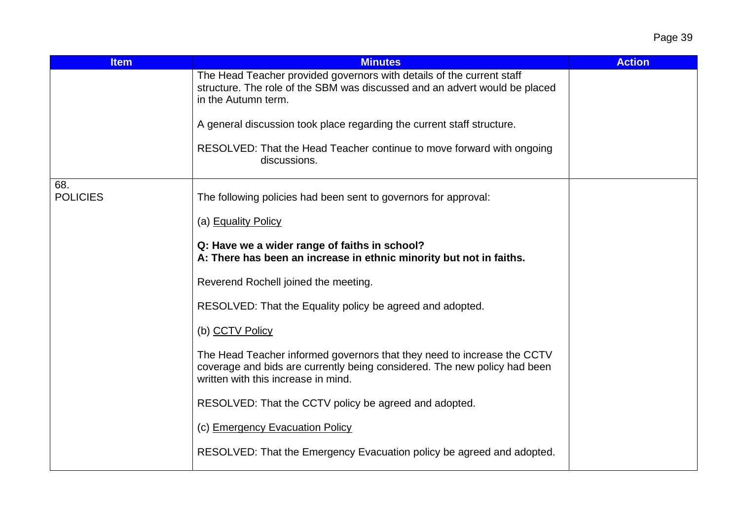| <b>Item</b>            | <b>Minutes</b>                                                                                                                                                                              | <b>Action</b> |
|------------------------|---------------------------------------------------------------------------------------------------------------------------------------------------------------------------------------------|---------------|
|                        | The Head Teacher provided governors with details of the current staff<br>structure. The role of the SBM was discussed and an advert would be placed<br>in the Autumn term.                  |               |
|                        | A general discussion took place regarding the current staff structure.                                                                                                                      |               |
|                        | RESOLVED: That the Head Teacher continue to move forward with ongoing<br>discussions.                                                                                                       |               |
| 68.<br><b>POLICIES</b> | The following policies had been sent to governors for approval:                                                                                                                             |               |
|                        | (a) Equality Policy                                                                                                                                                                         |               |
|                        | Q: Have we a wider range of faiths in school?<br>A: There has been an increase in ethnic minority but not in faiths.                                                                        |               |
|                        | Reverend Rochell joined the meeting.                                                                                                                                                        |               |
|                        | RESOLVED: That the Equality policy be agreed and adopted.                                                                                                                                   |               |
|                        | (b) CCTV Policy                                                                                                                                                                             |               |
|                        | The Head Teacher informed governors that they need to increase the CCTV<br>coverage and bids are currently being considered. The new policy had been<br>written with this increase in mind. |               |
|                        | RESOLVED: That the CCTV policy be agreed and adopted.                                                                                                                                       |               |
|                        | (c) Emergency Evacuation Policy                                                                                                                                                             |               |
|                        | RESOLVED: That the Emergency Evacuation policy be agreed and adopted.                                                                                                                       |               |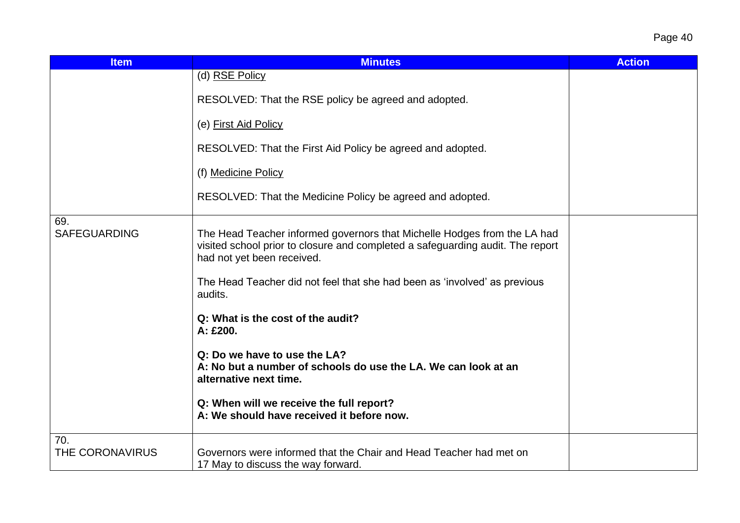| Page 40 |  |
|---------|--|
|---------|--|

| <b>Item</b>                | <b>Minutes</b>                                                                                                                                                                                                                                                        | <b>Action</b> |
|----------------------------|-----------------------------------------------------------------------------------------------------------------------------------------------------------------------------------------------------------------------------------------------------------------------|---------------|
|                            | (d) RSE Policy                                                                                                                                                                                                                                                        |               |
|                            | RESOLVED: That the RSE policy be agreed and adopted.                                                                                                                                                                                                                  |               |
|                            | (e) First Aid Policy                                                                                                                                                                                                                                                  |               |
|                            | RESOLVED: That the First Aid Policy be agreed and adopted.                                                                                                                                                                                                            |               |
|                            | (f) Medicine Policy                                                                                                                                                                                                                                                   |               |
|                            | RESOLVED: That the Medicine Policy be agreed and adopted.                                                                                                                                                                                                             |               |
| 69.<br><b>SAFEGUARDING</b> | The Head Teacher informed governors that Michelle Hodges from the LA had<br>visited school prior to closure and completed a safeguarding audit. The report<br>had not yet been received.<br>The Head Teacher did not feel that she had been as 'involved' as previous |               |
|                            | audits.                                                                                                                                                                                                                                                               |               |
|                            | Q: What is the cost of the audit?<br>A: £200.                                                                                                                                                                                                                         |               |
|                            | Q: Do we have to use the LA?<br>A: No but a number of schools do use the LA. We can look at an<br>alternative next time.                                                                                                                                              |               |
|                            | Q: When will we receive the full report?<br>A: We should have received it before now.                                                                                                                                                                                 |               |
| 70.                        |                                                                                                                                                                                                                                                                       |               |
| THE CORONAVIRUS            | Governors were informed that the Chair and Head Teacher had met on<br>17 May to discuss the way forward.                                                                                                                                                              |               |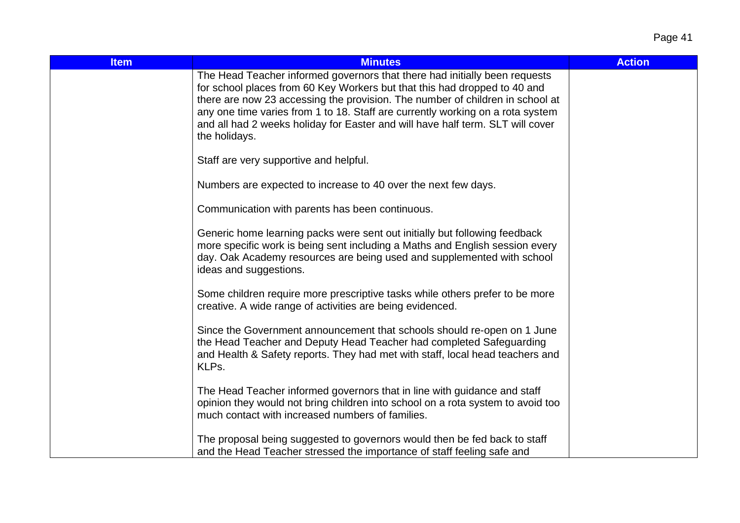| <b>Item</b> | <b>Minutes</b>                                                                                                                                                                                                                                                                                                                                                                                                                | <b>Action</b> |
|-------------|-------------------------------------------------------------------------------------------------------------------------------------------------------------------------------------------------------------------------------------------------------------------------------------------------------------------------------------------------------------------------------------------------------------------------------|---------------|
|             | The Head Teacher informed governors that there had initially been requests<br>for school places from 60 Key Workers but that this had dropped to 40 and<br>there are now 23 accessing the provision. The number of children in school at<br>any one time varies from 1 to 18. Staff are currently working on a rota system<br>and all had 2 weeks holiday for Easter and will have half term. SLT will cover<br>the holidays. |               |
|             | Staff are very supportive and helpful.                                                                                                                                                                                                                                                                                                                                                                                        |               |
|             | Numbers are expected to increase to 40 over the next few days.                                                                                                                                                                                                                                                                                                                                                                |               |
|             | Communication with parents has been continuous.                                                                                                                                                                                                                                                                                                                                                                               |               |
|             | Generic home learning packs were sent out initially but following feedback<br>more specific work is being sent including a Maths and English session every<br>day. Oak Academy resources are being used and supplemented with school<br>ideas and suggestions.                                                                                                                                                                |               |
|             | Some children require more prescriptive tasks while others prefer to be more<br>creative. A wide range of activities are being evidenced.                                                                                                                                                                                                                                                                                     |               |
|             | Since the Government announcement that schools should re-open on 1 June<br>the Head Teacher and Deputy Head Teacher had completed Safeguarding<br>and Health & Safety reports. They had met with staff, local head teachers and<br>KLPs.                                                                                                                                                                                      |               |
|             | The Head Teacher informed governors that in line with guidance and staff<br>opinion they would not bring children into school on a rota system to avoid too<br>much contact with increased numbers of families.                                                                                                                                                                                                               |               |
|             | The proposal being suggested to governors would then be fed back to staff<br>and the Head Teacher stressed the importance of staff feeling safe and                                                                                                                                                                                                                                                                           |               |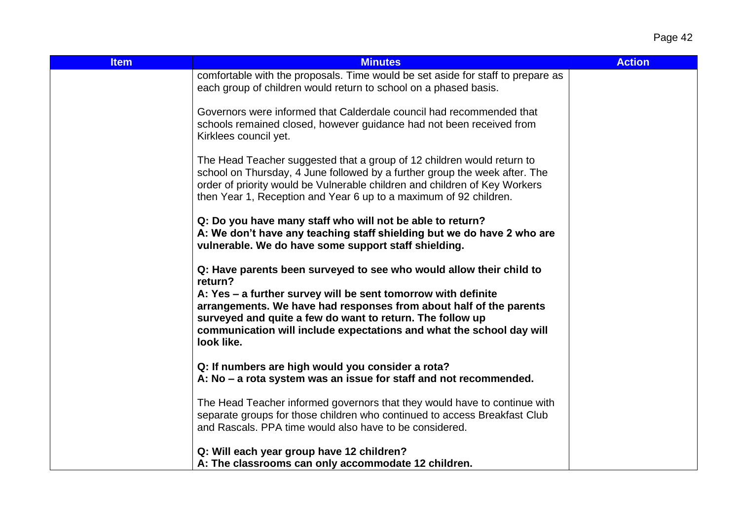| <b>Item</b> | <b>Minutes</b>                                                                                                                                                                                                                                                                                                                                                           | <b>Action</b> |
|-------------|--------------------------------------------------------------------------------------------------------------------------------------------------------------------------------------------------------------------------------------------------------------------------------------------------------------------------------------------------------------------------|---------------|
|             | comfortable with the proposals. Time would be set aside for staff to prepare as<br>each group of children would return to school on a phased basis.                                                                                                                                                                                                                      |               |
|             | Governors were informed that Calderdale council had recommended that<br>schools remained closed, however guidance had not been received from<br>Kirklees council yet.                                                                                                                                                                                                    |               |
|             | The Head Teacher suggested that a group of 12 children would return to<br>school on Thursday, 4 June followed by a further group the week after. The<br>order of priority would be Vulnerable children and children of Key Workers<br>then Year 1, Reception and Year 6 up to a maximum of 92 children.                                                                  |               |
|             | Q: Do you have many staff who will not be able to return?<br>A: We don't have any teaching staff shielding but we do have 2 who are<br>vulnerable. We do have some support staff shielding.                                                                                                                                                                              |               |
|             | Q: Have parents been surveyed to see who would allow their child to<br>return?<br>A: Yes – a further survey will be sent tomorrow with definite<br>arrangements. We have had responses from about half of the parents<br>surveyed and quite a few do want to return. The follow up<br>communication will include expectations and what the school day will<br>look like. |               |
|             | Q: If numbers are high would you consider a rota?<br>A: No – a rota system was an issue for staff and not recommended.                                                                                                                                                                                                                                                   |               |
|             | The Head Teacher informed governors that they would have to continue with<br>separate groups for those children who continued to access Breakfast Club<br>and Rascals. PPA time would also have to be considered.                                                                                                                                                        |               |
|             | Q: Will each year group have 12 children?                                                                                                                                                                                                                                                                                                                                |               |
|             | A: The classrooms can only accommodate 12 children.                                                                                                                                                                                                                                                                                                                      |               |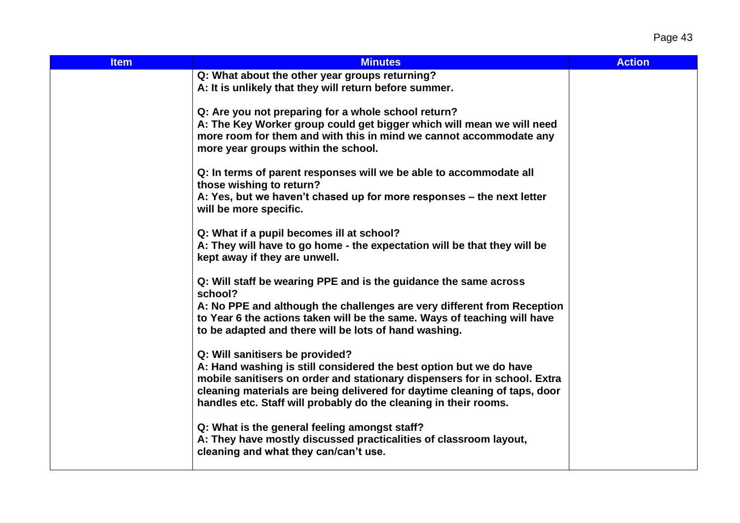| <b>Item</b> | <b>Minutes</b>                                                                                                                                      | <b>Action</b> |
|-------------|-----------------------------------------------------------------------------------------------------------------------------------------------------|---------------|
|             | Q: What about the other year groups returning?                                                                                                      |               |
|             | A: It is unlikely that they will return before summer.                                                                                              |               |
|             |                                                                                                                                                     |               |
|             | Q: Are you not preparing for a whole school return?<br>A: The Key Worker group could get bigger which will mean we will need                        |               |
|             | more room for them and with this in mind we cannot accommodate any                                                                                  |               |
|             | more year groups within the school.                                                                                                                 |               |
|             |                                                                                                                                                     |               |
|             | Q: In terms of parent responses will we be able to accommodate all                                                                                  |               |
|             | those wishing to return?                                                                                                                            |               |
|             | A: Yes, but we haven't chased up for more responses – the next letter                                                                               |               |
|             | will be more specific.                                                                                                                              |               |
|             | Q: What if a pupil becomes ill at school?                                                                                                           |               |
|             | A: They will have to go home - the expectation will be that they will be                                                                            |               |
|             | kept away if they are unwell.                                                                                                                       |               |
|             |                                                                                                                                                     |               |
|             | Q: Will staff be wearing PPE and is the guidance the same across                                                                                    |               |
|             | school?                                                                                                                                             |               |
|             | A: No PPE and although the challenges are very different from Reception<br>to Year 6 the actions taken will be the same. Ways of teaching will have |               |
|             | to be adapted and there will be lots of hand washing.                                                                                               |               |
|             |                                                                                                                                                     |               |
|             | Q: Will sanitisers be provided?                                                                                                                     |               |
|             | A: Hand washing is still considered the best option but we do have                                                                                  |               |
|             | mobile sanitisers on order and stationary dispensers for in school. Extra                                                                           |               |
|             | cleaning materials are being delivered for daytime cleaning of taps, door                                                                           |               |
|             | handles etc. Staff will probably do the cleaning in their rooms.                                                                                    |               |
|             | Q: What is the general feeling amongst staff?                                                                                                       |               |
|             | A: They have mostly discussed practicalities of classroom layout,                                                                                   |               |
|             | cleaning and what they can/can't use.                                                                                                               |               |
|             |                                                                                                                                                     |               |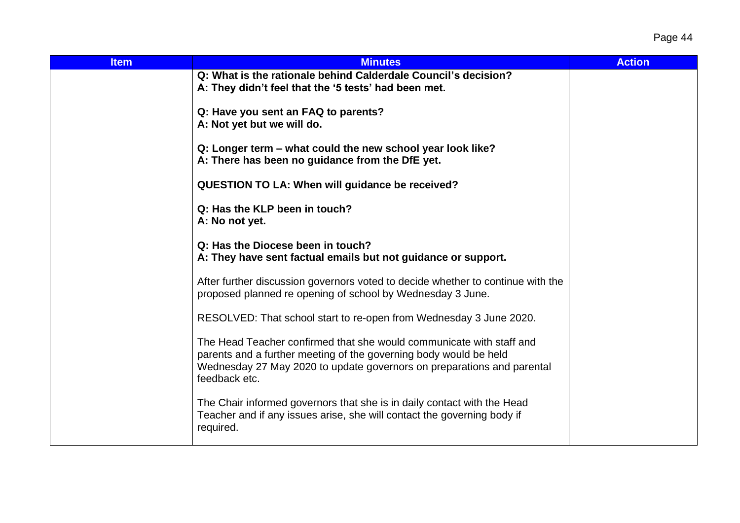| <b>Item</b> | <b>Minutes</b>                                                                                                                                                                                                                       | <b>Action</b> |
|-------------|--------------------------------------------------------------------------------------------------------------------------------------------------------------------------------------------------------------------------------------|---------------|
|             | Q: What is the rationale behind Calderdale Council's decision?<br>A: They didn't feel that the '5 tests' had been met.                                                                                                               |               |
|             | Q: Have you sent an FAQ to parents?<br>A: Not yet but we will do.                                                                                                                                                                    |               |
|             | Q: Longer term – what could the new school year look like?<br>A: There has been no guidance from the DfE yet.                                                                                                                        |               |
|             | <b>QUESTION TO LA: When will guidance be received?</b>                                                                                                                                                                               |               |
|             | Q: Has the KLP been in touch?<br>A: No not yet.                                                                                                                                                                                      |               |
|             | Q: Has the Diocese been in touch?<br>A: They have sent factual emails but not guidance or support.                                                                                                                                   |               |
|             | After further discussion governors voted to decide whether to continue with the<br>proposed planned re opening of school by Wednesday 3 June.                                                                                        |               |
|             | RESOLVED: That school start to re-open from Wednesday 3 June 2020.                                                                                                                                                                   |               |
|             | The Head Teacher confirmed that she would communicate with staff and<br>parents and a further meeting of the governing body would be held<br>Wednesday 27 May 2020 to update governors on preparations and parental<br>feedback etc. |               |
|             | The Chair informed governors that she is in daily contact with the Head<br>Teacher and if any issues arise, she will contact the governing body if<br>required.                                                                      |               |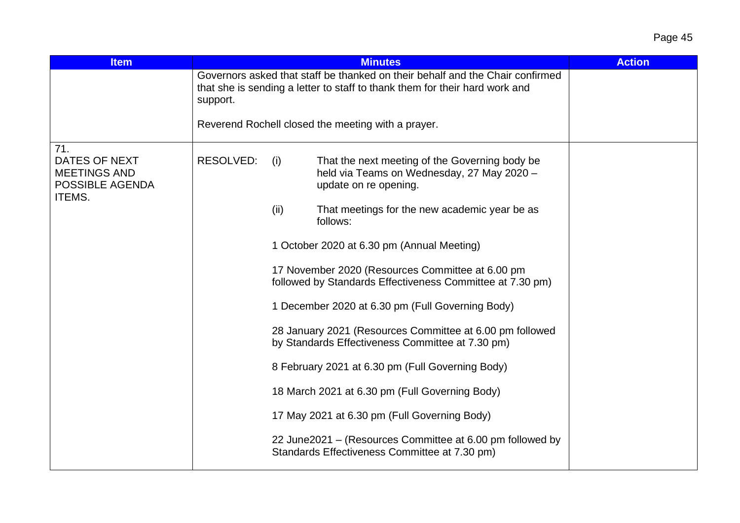| <b>Item</b>                                                                            |           |                                                                                                                                                              | <b>Minutes</b>                                                                                                        | <b>Action</b> |  |  |
|----------------------------------------------------------------------------------------|-----------|--------------------------------------------------------------------------------------------------------------------------------------------------------------|-----------------------------------------------------------------------------------------------------------------------|---------------|--|--|
|                                                                                        | support.  | Governors asked that staff be thanked on their behalf and the Chair confirmed<br>that she is sending a letter to staff to thank them for their hard work and |                                                                                                                       |               |  |  |
|                                                                                        |           |                                                                                                                                                              | Reverend Rochell closed the meeting with a prayer.                                                                    |               |  |  |
| 71.<br><b>DATES OF NEXT</b><br><b>MEETINGS AND</b><br>POSSIBLE AGENDA<br><b>ITEMS.</b> | RESOLVED: | (i)                                                                                                                                                          | That the next meeting of the Governing body be<br>held via Teams on Wednesday, 27 May 2020 -<br>update on re opening. |               |  |  |
|                                                                                        |           | (ii)                                                                                                                                                         | That meetings for the new academic year be as<br>follows:                                                             |               |  |  |
|                                                                                        |           |                                                                                                                                                              | 1 October 2020 at 6.30 pm (Annual Meeting)                                                                            |               |  |  |
|                                                                                        |           |                                                                                                                                                              | 17 November 2020 (Resources Committee at 6.00 pm<br>followed by Standards Effectiveness Committee at 7.30 pm)         |               |  |  |
|                                                                                        |           |                                                                                                                                                              | 1 December 2020 at 6.30 pm (Full Governing Body)                                                                      |               |  |  |
|                                                                                        |           |                                                                                                                                                              | 28 January 2021 (Resources Committee at 6.00 pm followed<br>by Standards Effectiveness Committee at 7.30 pm)          |               |  |  |
|                                                                                        |           |                                                                                                                                                              | 8 February 2021 at 6.30 pm (Full Governing Body)                                                                      |               |  |  |
|                                                                                        |           |                                                                                                                                                              | 18 March 2021 at 6.30 pm (Full Governing Body)                                                                        |               |  |  |
|                                                                                        |           |                                                                                                                                                              | 17 May 2021 at 6.30 pm (Full Governing Body)                                                                          |               |  |  |
|                                                                                        |           |                                                                                                                                                              | 22 June 2021 – (Resources Committee at 6.00 pm followed by<br>Standards Effectiveness Committee at 7.30 pm)           |               |  |  |